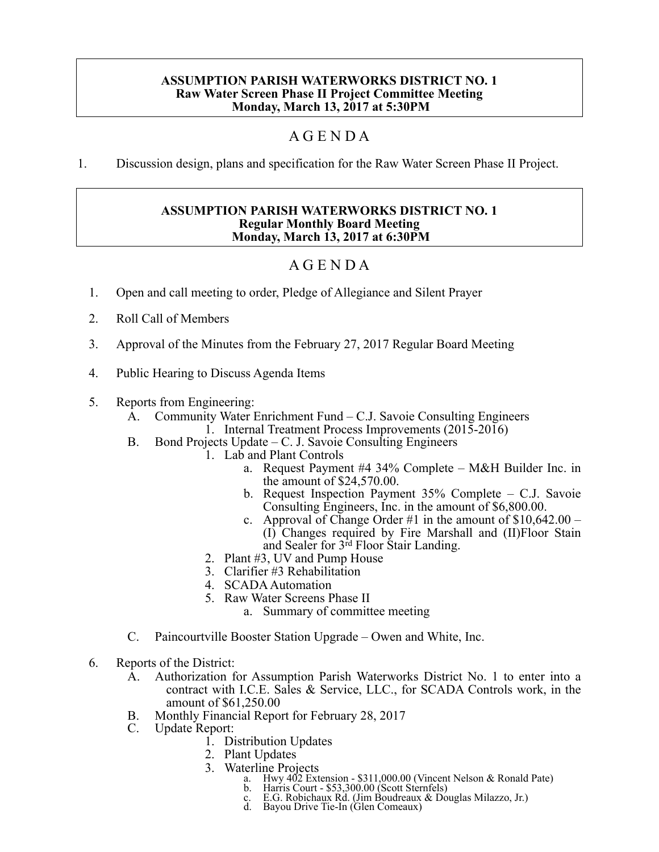## **ASSUMPTION PARISH WATERWORKS DISTRICT NO. 1 Raw Water Screen Phase II Project Committee Meeting Monday, March 13, 2017 at 5:30PM**

## A G E N D A

1. Discussion design, plans and specification for the Raw Water Screen Phase II Project.

## **ASSUMPTION PARISH WATERWORKS DISTRICT NO. 1 Regular Monthly Board Meeting Monday, March 13, 2017 at 6:30PM**

## A G E N D A

- 1. Open and call meeting to order, Pledge of Allegiance and Silent Prayer
- 2. Roll Call of Members
- 3. Approval of the Minutes from the February 27, 2017 Regular Board Meeting
- 4. Public Hearing to Discuss Agenda Items
- 5. Reports from Engineering:
	- A. Community Water Enrichment Fund C.J. Savoie Consulting Engineers 1. Internal Treatment Process Improvements (2015-2016)
	- B. Bond Projects Update C. J. Savoie Consulting Engineers
		- 1. Lab and Plant Controls
			- a. Request Payment #4 34% Complete M&H Builder Inc. in the amount of \$24,570.00.
			- b. Request Inspection Payment 35% Complete C.J. Savoie Consulting Engineers, Inc. in the amount of \$6,800.00.
			- c. Approval of Change Order #1 in the amount of  $$10,642.00 -$ (I) Changes required by Fire Marshall and (II)Floor Stain and Sealer for 3rd Floor Stair Landing.
		- 2. Plant #3, UV and Pump House
		- 3. Clarifier #3 Rehabilitation
		- 4. SCADA Automation
		- 5. Raw Water Screens Phase II
			- a. Summary of committee meeting
	- C. Paincourtville Booster Station Upgrade Owen and White, Inc.
- 6. Reports of the District:
	- A. Authorization for Assumption Parish Waterworks District No. 1 to enter into a contract with I.C.E. Sales & Service, LLC., for SCADA Controls work, in the amount of \$61,250.00
	- B. Monthly Financial Report for February 28, 2017<br>C. Update Report:
	- Update Report:
		- 1. Distribution Updates
			- 2. Plant Updates
			- 3. Waterline Projects
				- a. Hwy 402 Extension \$311,000.00 (Vincent Nelson & Ronald Pate)<br>b. Harris Court \$53,300.00 (Scott Sternfels)
					-
				- c. E.G. Robichaux Rd. (Jim Boudreaux & Douglas Milazzo, Jr.)<br>d. Bayou Drive Tie-In (Glen Comeaux)
				-